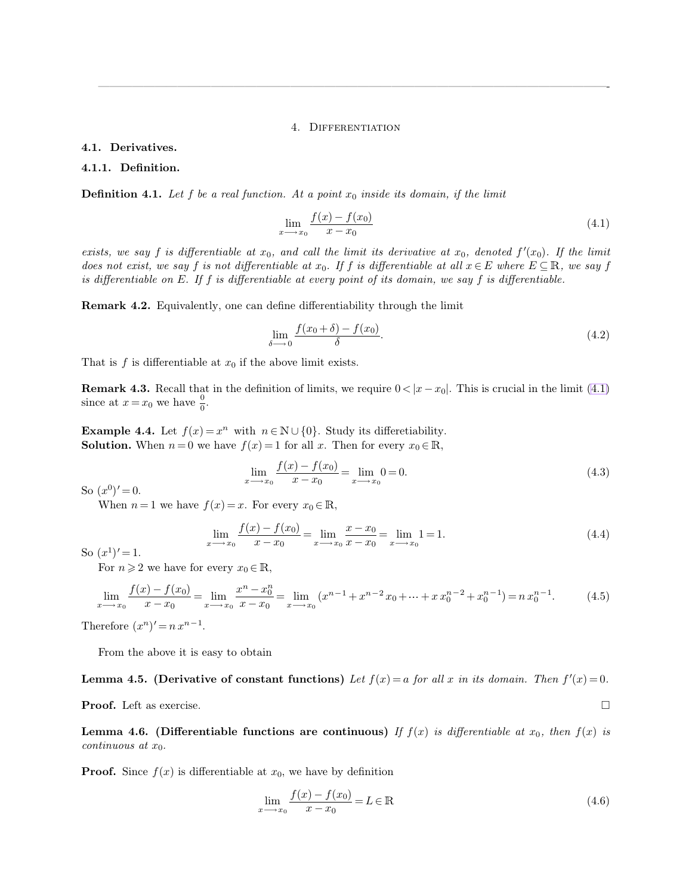#### <span id="page-0-0"></span>4. Differentiation

<span id="page-0-1"></span>—————————————————————————————————————————————-

#### **4.1. Derivatives.**

#### **4.1.1. Definition.**

**Definition 4.1.** Let f be a real function. At a point  $x_0$  inside its domain, if the limit

$$
\lim_{x \to x_0} \frac{f(x) - f(x_0)}{x - x_0} \tag{4.1}
$$

exists, we say f is differentiable at  $x_0$ , and call the limit its derivative at  $x_0$ , denoted  $f'(x_0)$ . If the limit *does not exist, we say* f *is not differentiable at*  $x_0$ *. If* f *is differentiable at all*  $x \in E$  *where*  $E \subseteq \mathbb{R}$ *, we say* f *is differentiable on* E*. If* f *is differentiable at every point of its domain, we say* f *is differentiable.*

**Remark 4.2.** Equivalently, one can define differentiability through the limit

$$
\lim_{\delta \to 0} \frac{f(x_0 + \delta) - f(x_0)}{\delta}.\tag{4.2}
$$

That is  $f$  is differentiable at  $x_0$  if the above limit exists.

**Remark 4.3.** Recall that in the definition of limits, we require  $0 < |x - x_0|$ . This is crucial in the limit [\(4.1\)](#page-0-0) since at  $x = x_0$  we have  $\frac{0}{0}$ .

**Example 4.4.** Let  $f(x) = x^n$  with  $n \in \mathbb{N} \cup \{0\}$ . Study its differetiability. **Solution.** When  $n = 0$  we have  $f(x) = 1$  for all x. Then for every  $x_0 \in \mathbb{R}$ ,

$$
\lim_{x \to x_0} \frac{f(x) - f(x_0)}{x - x_0} = \lim_{x \to x_0} 0 = 0.
$$
\n(4.3)

So  $(x^0)' = 0$ .

When  $n = 1$  we have  $f(x) = x$ . For every  $x_0 \in \mathbb{R}$ ,

$$
\lim_{x \to x_0} \frac{f(x) - f(x_0)}{x - x_0} = \lim_{x \to x_0} \frac{x - x_0}{x - x_0} = \lim_{x \to x_0} 1 = 1.
$$
\n(4.4)

So  $(x^1)' = 1$ .

For  $n \geq 2$  we have for every  $x_0 \in \mathbb{R}$ ,

$$
\lim_{x \to x_0} \frac{f(x) - f(x_0)}{x - x_0} = \lim_{x \to x_0} \frac{x^n - x_0^n}{x - x_0} = \lim_{x \to x_0} (x^{n-1} + x^{n-2}x_0 + \dots + x^{n-2} + x_0^{n-1}) = n x_0^{n-1}.
$$
 (4.5)

Therefore  $(x^n)' = n x^{n-1}$ .

From the above it is easy to obtain

**Lemma 4.5. (Derivative of constant functions)** Let  $f(x) = a$  for all x in its domain. Then  $f'(x) = 0$ .

**Proof.** Left as exercise. □

**Lemma 4.6. (Differentiable functions are continuous)** If  $f(x)$  is differentiable at  $x_0$ , then  $f(x)$  is *continuous at*  $x_0$ *.* 

**Proof.** Since  $f(x)$  is differentiable at  $x_0$ , we have by definition

$$
\lim_{x \to x_0} \frac{f(x) - f(x_0)}{x - x_0} = L \in \mathbb{R}
$$
\n(4.6)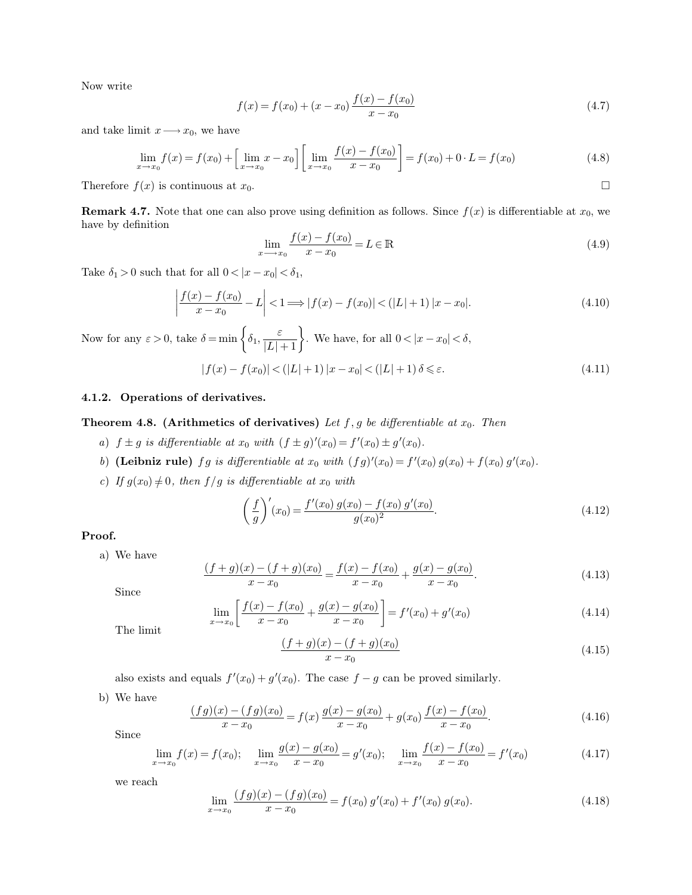Now write

$$
f(x) = f(x_0) + (x - x_0) \frac{f(x) - f(x_0)}{x - x_0}
$$
\n(4.7)

and take limit  $x \longrightarrow x_0$ , we have

$$
\lim_{x \to x_0} f(x) = f(x_0) + \left[ \lim_{x \to x_0} x - x_0 \right] \left[ \lim_{x \to x_0} \frac{f(x) - f(x_0)}{x - x_0} \right] = f(x_0) + 0 \cdot L = f(x_0)
$$
\n(4.8)

Therefore  $f(x)$  is continuous at  $x_0$ .

**Remark 4.7.** Note that one can also prove using definition as follows. Since  $f(x)$  is differentiable at  $x_0$ , we have by definition

$$
\lim_{x \to x_0} \frac{f(x) - f(x_0)}{x - x_0} = L \in \mathbb{R}
$$
\n(4.9)

Take  $\delta_1 > 0$  such that for all  $0 < |x - x_0| < \delta_1$ ,

 $\overline{\phantom{a}}$  $\overline{\phantom{a}}$  $\overline{\phantom{a}}$  $\overline{\phantom{a}}$ 

$$
\left| \frac{f(x) - f(x_0)}{x - x_0} - L \right| < 1 \Longrightarrow |f(x) - f(x_0)| < (|L| + 1) |x - x_0|.\tag{4.10}
$$

Now for any  $\varepsilon > 0$ , take  $\delta = \min\left\{\delta_1, \frac{\varepsilon}{|L|+1}\right\}$ . We have, for all  $0 < |x - x_0| < \delta$ ,

$$
|f(x) - f(x_0)| < (|L| + 1) |x - x_0| < (|L| + 1) \delta \le \varepsilon. \tag{4.11}
$$

# **4.1.2. Operations of derivatives.**

# **Theorem 4.8. (Arithmetics of derivatives)** Let  $f, g$  be differentiable at  $x_0$ . Then

- *a*)  $f \pm g$  *is differentiable at*  $x_0$  *with*  $(f \pm g)'(x_0) = f'(x_0) \pm g'(x_0)$ *.*
- b) **(Leibniz rule)** fg is differentiable at  $x_0$  with  $(fg)'(x_0) = f'(x_0) g(x_0) + f(x_0) g'(x_0)$ .
- *c*) If  $g(x_0) \neq 0$ , then  $f/g$  is differentiable at  $x_0$  with

 $\overline{x}$ 

$$
\left(\frac{f}{g}\right)'(x_0) = \frac{f'(x_0) g(x_0) - f(x_0) g'(x_0)}{g(x_0)^2}.
$$
\n(4.12)

**Proof.**

a) We have

$$
\frac{(f+g)(x) - (f+g)(x_0)}{x - x_0} = \frac{f(x) - f(x_0)}{x - x_0} + \frac{g(x) - g(x_0)}{x - x_0}.
$$
\n(4.13)

Since

$$
\lim_{x \to x_0} \left[ \frac{f(x) - f(x_0)}{x - x_0} + \frac{g(x) - g(x_0)}{x - x_0} \right] = f'(x_0) + g'(x_0)
$$
\n(4.14)

The limit

$$
\frac{(f+g)(x) - (f+g)(x_0)}{x - x_0} \tag{4.15}
$$

also exists and equals  $f'(x_0) + g'(x_0)$ . The case  $f - g$  can be proved similarly.

b) We have

$$
\frac{(fg)(x) - (fg)(x_0)}{x - x_0} = f(x)\frac{g(x) - g(x_0)}{x - x_0} + g(x_0)\frac{f(x) - f(x_0)}{x - x_0}.
$$
\n(4.16)

Since

$$
\lim_{x \to x_0} f(x) = f(x_0); \quad \lim_{x \to x_0} \frac{g(x) - g(x_0)}{x - x_0} = g'(x_0); \quad \lim_{x \to x_0} \frac{f(x) - f(x_0)}{x - x_0} = f'(x_0)
$$
\n(4.17)

we reach

$$
\lim_{x \to x_0} \frac{(fg)(x) - (fg)(x_0)}{x - x_0} = f(x_0) g'(x_0) + f'(x_0) g(x_0).
$$
\n(4.18)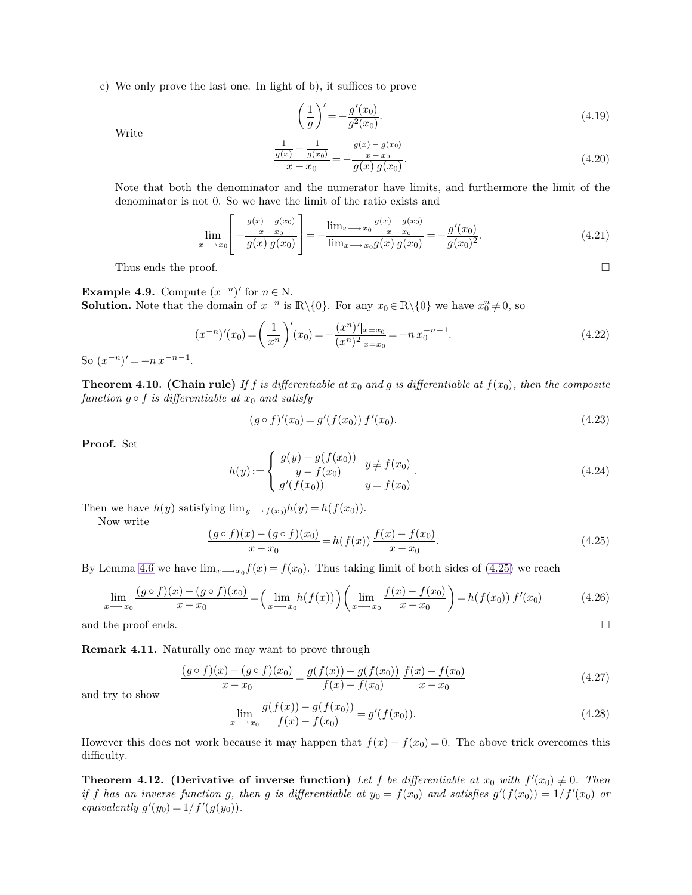c) We only prove the last one. In light of b), it suffices to prove

<span id="page-2-0"></span>
$$
\left(\frac{1}{g}\right)' = -\frac{g'(x_0)}{g^2(x_0)}.\tag{4.19}
$$

Write

$$
\frac{\frac{1}{g(x)} - \frac{1}{g(x_0)}}{x - x_0} = -\frac{\frac{g(x) - g(x_0)}{x - x_0}}{g(x) g(x_0)}.
$$
\n(4.20)

Note that both the denominator and the numerator have limits, and furthermore the limit of the denominator is not 0. So we have the limit of the ratio exists and

$$
\lim_{x \to x_0} \left[ -\frac{\frac{g(x) - g(x_0)}{x - x_0}}{g(x) g(x_0)} \right] = -\frac{\lim_{x \to x_0} \frac{g(x) - g(x_0)}{x - x_0}}{\lim_{x \to x_0} g(x) g(x_0)} = -\frac{g'(x_0)}{g(x_0)^2}.
$$
\n(4.21)

Thus ends the proof.  $\Box$ 

**Example 4.9.** Compute  $(x^{-n})'$  for  $n \in \mathbb{N}$ . **Solution.** Note that the domain of  $x^{-n}$  is  $\mathbb{R}\setminus\{0\}$ . For any  $x_0 \in \mathbb{R}\setminus\{0\}$  we have  $x_0^n \neq 0$ , so

$$
(x^{-n})'(x_0) = \left(\frac{1}{x^n}\right)'(x_0) = -\frac{(x^n)''(x-x_0)}{(x^n)^2(x-x_0)} = -nx_0^{-n-1}.
$$
\n(4.22)

So  $(x^{-n})' = -nx^{-n-1}$ .

**Theorem 4.10. (Chain rule)** If f is differentiable at  $x_0$  and g is differentiable at  $f(x_0)$ , then the composite *function*  $g \circ f$  *is differentiable at*  $x_0$  *and satisfy* 

$$
(g \circ f)'(x_0) = g'(f(x_0)) f'(x_0).
$$
\n(4.23)

**Proof.** Set

$$
h(y) := \begin{cases} \frac{g(y) - g(f(x_0))}{y - f(x_0)} & y \neq f(x_0) \\ g'(f(x_0)) & y = f(x_0) \end{cases} \tag{4.24}
$$

Then we have  $h(y)$  satisfying  $\lim_{y \longrightarrow f(x_0)} h(y) = h(f(x_0)).$ 

Now write

$$
\frac{(g \circ f)(x) - (g \circ f)(x_0)}{x - x_0} = h(f(x)) \frac{f(x) - f(x_0)}{x - x_0}.
$$
\n(4.25)

By Lemma [4.6](#page-0-1) we have  $\lim_{x\to x_0} f(x) = f(x_0)$ . Thus taking limit of both sides of [\(4.25\)](#page-2-0) we reach

$$
\lim_{x \to x_0} \frac{(g \circ f)(x) - (g \circ f)(x_0)}{x - x_0} = \left(\lim_{x \to x_0} h(f(x))\right) \left(\lim_{x \to x_0} \frac{f(x) - f(x_0)}{x - x_0}\right) = h(f(x_0)) f'(x_0)
$$
(4.26)

and the proof ends.  $\Box$ 

**Remark 4.11.** Naturally one may want to prove through

$$
\frac{(g \circ f)(x) - (g \circ f)(x_0)}{x - x_0} = \frac{g(f(x)) - g(f(x_0))}{f(x) - f(x_0)} \frac{f(x) - f(x_0)}{x - x_0}
$$
\n(4.27)

and try to show

$$
\lim_{x \to x_0} \frac{g(f(x)) - g(f(x_0))}{f(x) - f(x_0)} = g'(f(x_0)).
$$
\n(4.28)

However this does not work because it may happen that  $f(x) - f(x_0) = 0$ . The above trick overcomes this difficulty.

**Theorem 4.12.** (Derivative of inverse function) Let f be differentiable at  $x_0$  with  $f'(x_0) \neq 0$ . Then *if* f has an inverse function g, then g is differentiable at  $y_0 = f(x_0)$  and satisfies  $g'(f(x_0)) = 1/f'(x_0)$  or *equivalently*  $g'(y_0) = 1/f'(g(y_0)).$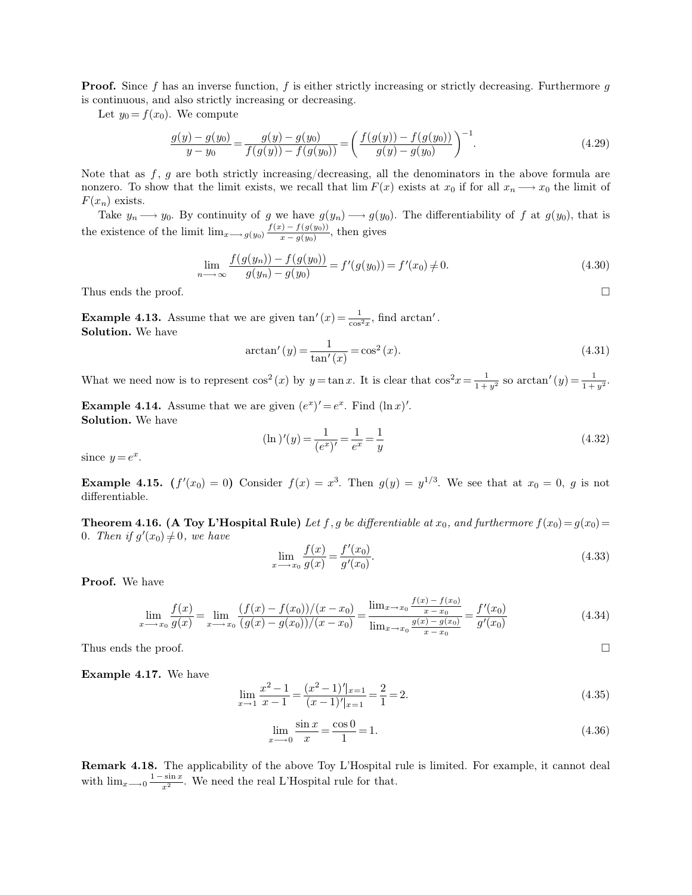**Proof.** Since f has an inverse function, f is either strictly increasing or strictly decreasing. Furthermore  $g$ is continuous, and also strictly increasing or decreasing.

Let  $y_0 = f(x_0)$ . We compute

$$
\frac{g(y) - g(y_0)}{y - y_0} = \frac{g(y) - g(y_0)}{f(g(y)) - f(g(y_0))} = \left(\frac{f(g(y)) - f(g(y_0))}{g(y) - g(y_0)}\right)^{-1}.
$$
\n(4.29)

Note that as  $f, g$  are both strictly increasing/decreasing, all the denominators in the above formula are nonzero. To show that the limit exists, we recall that  $\lim F(x)$  exists at  $x_0$  if for all  $x_n \longrightarrow x_0$  the limit of  $F(x_n)$  exists.

Take  $y_n \longrightarrow y_0$ . By continuity of g we have  $g(y_n) \longrightarrow g(y_0)$ . The differentiability of f at  $g(y_0)$ , that is the existence of the limit  $\lim_{x\to g(y_0)} \frac{f(x)-f(g(y_0))}{x-g(y_0)}$  $\frac{f(y)-f(g(y_0))}{x-g(y_0)}$ , then gives

$$
\lim_{n \to \infty} \frac{f(g(y_n)) - f(g(y_0))}{g(y_n) - g(y_0)} = f'(g(y_0)) = f'(x_0) \neq 0.
$$
\n(4.30)

Thus ends the proof.  $\Box$ 

**Example 4.13.** Assume that we are given  $\tan'(x) = \frac{1}{\cos^2 x}$ , find  $\arctan'$ . **Solution.** We have

$$
\arctan'(y) = \frac{1}{\tan'(x)} = \cos^2(x). \tag{4.31}
$$

What we need now is to represent  $\cos^2(x)$  by  $y = \tan x$ . It is clear that  $\cos^2 x = \frac{1}{1+x}$  $\frac{1}{1+y^2}$  so  $\arctan'(y) = \frac{1}{1+y^2}$ .

**Example 4.14.** Assume that we are given  $(e^x)' = e^x$ . Find  $(\ln x)'$ . **Solution.** We have

$$
(\ln)'(y) = \frac{1}{(e^x)'} = \frac{1}{e^x} = \frac{1}{y}
$$
\n(4.32)

since  $y = e^x$ .

**Example 4.15.**  $(f'(x_0) = 0)$  Consider  $f(x) = x^3$ . Then  $g(y) = y^{1/3}$ . We see that at  $x_0 = 0$ , g is not differentiable.

**Theorem 4.16. (A Toy L'Hospital Rule)** Let f, g be differentiable at  $x_0$ , and furthermore  $f(x_0) = g(x_0) =$ 0*.* Then if  $g'(x_0) \neq 0$ , we have

$$
\lim_{x \to x_0} \frac{f(x)}{g(x)} = \frac{f'(x_0)}{g'(x_0)}.
$$
\n(4.33)

**Proof.** We have

$$
\lim_{x \to x_0} \frac{f(x)}{g(x)} = \lim_{x \to x_0} \frac{(f(x) - f(x_0))/(x - x_0)}{(g(x) - g(x_0))/(x - x_0)} = \frac{\lim_{x \to x_0} \frac{f(x) - f(x_0)}{x - x_0}}{\lim_{x \to x_0} \frac{g(x) - g(x_0)}{x - x_0}} = \frac{f'(x_0)}{g'(x_0)}
$$
(4.34)

Thus ends the proof.  $\Box$ 

**Example 4.17.** We have

$$
\lim_{x \to 1} \frac{x^2 - 1}{x - 1} = \frac{(x^2 - 1)'\vert_{x=1}}{(x - 1)'\vert_{x=1}} = \frac{2}{1} = 2.
$$
\n(4.35)

$$
\lim_{x \to -0} \frac{\sin x}{x} = \frac{\cos 0}{1} = 1.
$$
\n(4.36)

**Remark 4.18.** The applicability of the above Toy L'Hospital rule is limited. For example, it cannot deal with  $\lim_{x\to 0} \frac{1-\sin x}{x^2}$  $\frac{\sin x}{x^2}$ . We need the real L'Hospital rule for that.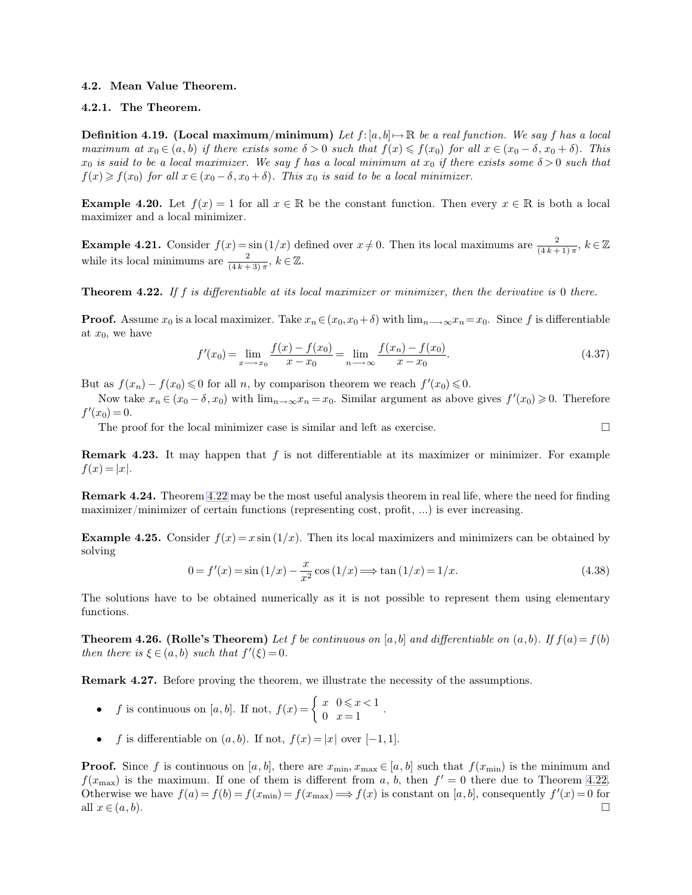#### <span id="page-4-0"></span>**4.2. Mean Value Theorem.**

# **4.2.1. The Theorem.**

**Definition 4.19. (Local maximum/minimum)** Let  $f:[a, b] \mapsto \mathbb{R}$  be a real function. We say f has a local *maximum at*  $x_0 \in (a, b)$  *if there exists some*  $\delta > 0$  *such that*  $f(x) \leq f(x_0)$  *for all*  $x \in (x_0 - \delta, x_0 + \delta)$ *. This*  $x_0$  *is said to be a local maximizer. We say* f has a local minimum at  $x_0$  *if there exists some*  $\delta > 0$  *such that*  $f(x) \geq f(x_0)$  *for all*  $x \in (x_0 - \delta, x_0 + \delta)$ *. This*  $x_0$  *is said to be a local minimizer.* 

**Example 4.20.** Let  $f(x) = 1$  for all  $x \in \mathbb{R}$  be the constant function. Then every  $x \in \mathbb{R}$  is both a local maximizer and a local minimizer.

**Example 4.21.** Consider  $f(x) = \sin(1/x)$  defined over  $x \neq 0$ . Then its local maximums are  $\frac{2}{(4k+1)\pi}$ ,  $k \in \mathbb{Z}$ while its local minimums are  $\frac{2}{(4k+3)\pi}$ ,  $k \in \mathbb{Z}$ .

**Theorem 4.22.** *If* f *is differentiable at its local maximizer or minimizer, then the derivative is* 0 *there.*

**Proof.** Assume  $x_0$  is a local maximizer. Take  $x_n \in (x_0, x_0 + \delta)$  with  $\lim_{n \to \infty} x_n = x_0$ . Since f is differentiable at  $x_0$ , we have

$$
f'(x_0) = \lim_{x \to x_0} \frac{f(x) - f(x_0)}{x - x_0} = \lim_{n \to \infty} \frac{f(x_n) - f(x_0)}{x - x_0}.
$$
 (4.37)

But as  $f(x_n) - f(x_0) \leq 0$  for all n, by comparison theorem we reach  $f'(x_0) \leq 0$ .

Now take  $x_n \in (x_0 - \delta, x_0)$  with  $\lim_{n \to \infty} x_n = x_0$ . Similar argument as above gives  $f'(x_0) \geq 0$ . Therefore  $f'(x_0) = 0.$ 

The proof for the local minimizer case is similar and left as exercise.  $\Box$ 

**Remark 4.23.** It may happen that f is not differentiable at its maximizer or minimizer. For example  $f(x) = |x|$ .

**Remark 4.24.** Theorem [4.22](#page-4-0) may be the most useful analysis theorem in real life, where the need for finding maximizer/minimizer of certain functions (representing cost, profit, ...) is ever increasing.

**Example 4.25.** Consider  $f(x) = x \sin(1/x)$ . Then its local maximizers and minimizers can be obtained by solving

$$
0 = f'(x) = \sin(1/x) - \frac{x}{x^2} \cos(1/x) \Longrightarrow \tan(1/x) = 1/x.
$$
 (4.38)

The solutions have to be obtained numerically as it is not possible to represent them using elementary functions.

**Theorem 4.26. (Rolle's Theorem)** Let f be continuous on [a, b] and differentiable on  $(a, b)$ . If  $f(a) = f(b)$ *then there is*  $\xi \in (a, b)$  *such that*  $f'(\xi) = 0$ *.* 

**Remark 4.27.** Before proving the theorem, we illustrate the necessity of the assumptions.

- *f* is continuous on [a, b]. If not,  $f(x) = \begin{cases} x & 0 \le x < 1 \\ 0 & x = 1 \end{cases}$ .
- f is differentiable on  $(a, b)$ . If not,  $f(x) = |x|$  over  $[-1, 1]$ .

**Proof.** Since f is continuous on [a, b], there are  $x_{\min}, x_{\max} \in [a, b]$  such that  $f(x_{\min})$  is the minimum and  $f(x_{\text{max}})$  is the maximum. If one of them is different from a, b, then  $f' = 0$  there due to Theorem [4.22.](#page-4-0) Otherwise we have  $f(a) = f(b) = f(x_{min}) = f(x_{max}) \Longrightarrow f(x)$  is constant on [a, b], consequently  $f'(x) = 0$  for all  $x \in (a, b)$ .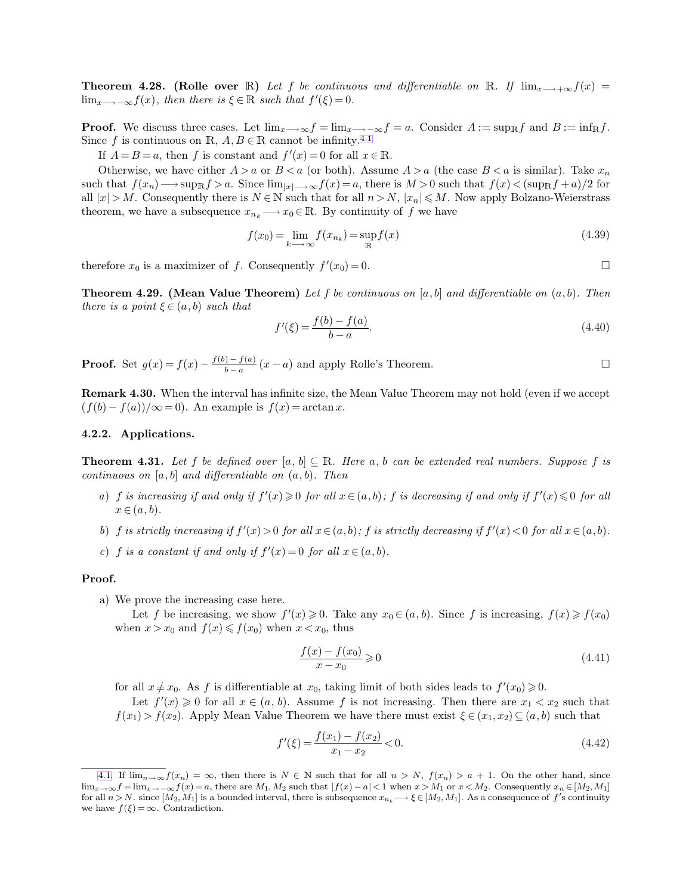**Theorem 4.28.** (Rolle over R) Let f be continuous and differentiable on R. If  $\lim_{x\to+\infty}f(x)$  =  $\lim_{x \to \infty} f(x)$ , then there is  $\xi \in \mathbb{R}$  such that  $f'(\xi) = 0$ .

**Proof.** We discuss three cases. Let  $\lim_{x\to\infty} f = \lim_{x\to\infty} f = a$ . Consider  $A := \sup_{\mathbb{R}} f$  and  $B := \inf_{\mathbb{R}} f$ . Since f is continuous on R,  $A, B \in \mathbb{R}$  cannot be infinity.<sup>4.1</sup>

If  $A = B = a$ , then f is constant and  $f'(x) = 0$  for all  $x \in \mathbb{R}$ .

Otherwise, we have either  $A > a$  or  $B < a$  (or both). Assume  $A > a$  (the case  $B < a$  is similar). Take  $x_n$ such that  $f(x_n) \longrightarrow \sup_{\mathbb{R}} f > a$ . Since  $\lim_{|x| \longrightarrow \infty} f(x) = a$ , there is  $M > 0$  such that  $f(x) < (\sup_{\mathbb{R}} f + a)/2$  for all  $|x| > M$ . Consequently there is  $N \in \mathbb{N}$  such that for all  $n > N$ ,  $|x_n| \leq M$ . Now apply Bolzano-Weierstrass theorem, we have a subsequence  $x_{n_k} \longrightarrow x_0 \in \mathbb{R}$ . By continuity of f we have

$$
f(x_0) = \lim_{k \to \infty} f(x_{n_k}) = \sup_{\mathbb{R}} f(x)
$$
\n(4.39)

therefore  $x_0$  is a maximizer of f. Consequently  $f'(x_0) = 0$ .

**Theorem 4.29. (Mean Value Theorem)** *Let* f *be continuous on* [a, b] *and differentiable on* (a, b)*. Then there is a point*  $\xi \in (a, b)$  *such that* 

$$
f'(\xi) = \frac{f(b) - f(a)}{b - a}.\tag{4.40}
$$

**Proof.** Set  $g(x) = f(x) - \frac{f(b) - f(a)}{b-a}$  $\frac{b-a}{b-a}(x-a)$  and apply Rolle's Theorem.

**Remark 4.30.** When the interval has infinite size, the Mean Value Theorem may not hold (even if we accept  $(f(b) - f(a))/\infty = 0$ . An example is  $f(x) = \arctan x$ .

### **4.2.2. Applications.**

**Theorem 4.31.** Let f be defined over  $[a, b] \subseteq \mathbb{R}$ . Here a, b can be extended real numbers. Suppose f is *continuous on* [a, b] *and differentiable on* (a, b)*. Then*

- *a*) *f is increasing if and only if*  $f'(x) \ge 0$  *for all*  $x \in (a, b)$ ; *f is decreasing if and only if*  $f'(x) \le 0$  *for all*  $x \in (a, b)$ .
- *b*) *f is strictly increasing if*  $f'(x) > 0$  *for all*  $x \in (a, b)$ ; *f is strictly decreasing if*  $f'(x) < 0$  *for all*  $x \in (a, b)$ *.*
- *c*) *f is a constant if and only if*  $f'(x) = 0$  *for all*  $x \in (a, b)$ *.*

## **Proof.**

a) We prove the increasing case here.

Let f be increasing, we show  $f'(x) \geq 0$ . Take any  $x_0 \in (a, b)$ . Since f is increasing,  $f(x) \geq f(x_0)$ when  $x > x_0$  and  $f(x) \leqslant f(x_0)$  when  $x < x_0$ , thus

<span id="page-5-0"></span>
$$
\frac{f(x) - f(x_0)}{x - x_0} \ge 0
$$
\n
$$
(4.41)
$$

for all  $x \neq x_0$ . As f is differentiable at  $x_0$ , taking limit of both sides leads to  $f'(x_0) \geq 0$ .

Let  $f'(x) \geq 0$  for all  $x \in (a, b)$ . Assume f is not increasing. Then there are  $x_1 < x_2$  such that  $f(x_1) > f(x_2)$ . Apply Mean Value Theorem we have there must exist  $\xi \in (x_1, x_2) \subseteq (a, b)$  such that

$$
f'(\xi) = \frac{f(x_1) - f(x_2)}{x_1 - x_2} < 0. \tag{4.42}
$$

[<sup>4.1.</sup>](#page-5-0) If  $\lim_{n\to\infty}f(x_n)=\infty$ , then there is  $N\in\mathbb{N}$  such that for all  $n>N$ ,  $f(x_n)>a+1$ . On the other hand, since  $\lim_{x\to\infty} f = \lim_{x\to-\infty} f(x) = a$ , there are  $M_1, M_2$  such that  $|f(x) - a| < 1$  when  $x > M_1$  or  $x < M_2$ . Consequently  $x_n \in [M_2, M_1]$ for all  $n > N$ . since  $[M_2, M_1]$  is a bounded interval, there is subsequence  $x_{n_k} \longrightarrow \xi \in [M_2, M_1]$ . As a consequence of f's continuity we have  $f(\xi) = \infty$ . Contradiction.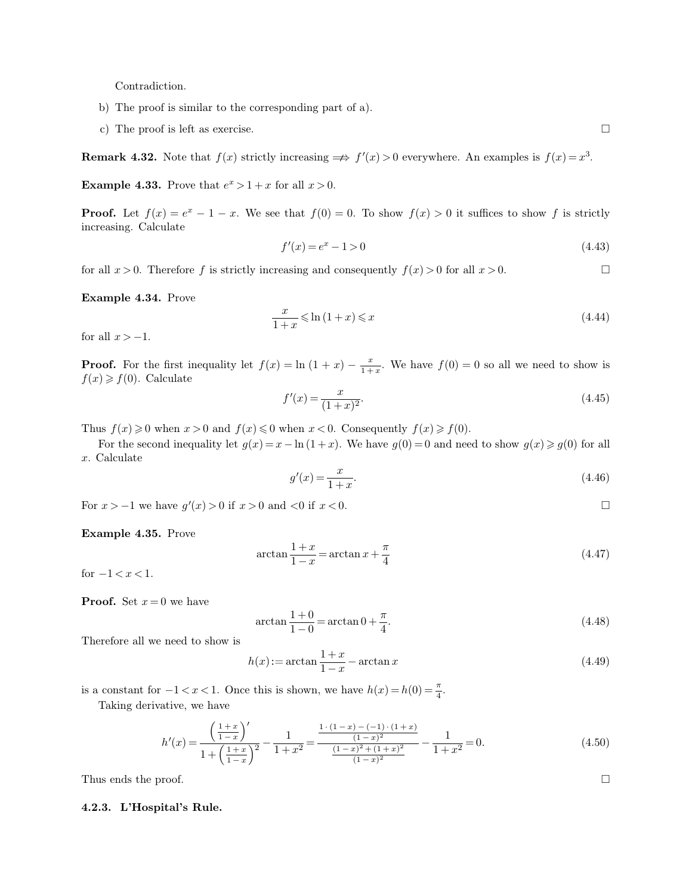Contradiction.

- b) The proof is similar to the corresponding part of a).
- c) The proof is left as exercise.

**Remark 4.32.** Note that  $f(x)$  strictly increasing  $\implies f'(x) > 0$  everywhere. An examples is  $f(x) = x^3$ .

**Example 4.33.** Prove that  $e^x > 1 + x$  for all  $x > 0$ .

**Proof.** Let  $f(x) = e^x - 1 - x$ . We see that  $f(0) = 0$ . To show  $f(x) > 0$  it suffices to show f is strictly increasing. Calculate

$$
f'(x) = e^x - 1 > 0 \tag{4.43}
$$

for all  $x > 0$ . Therefore f is strictly increasing and consequently  $f(x) > 0$  for all  $x > 0$ .

**Example 4.34.** Prove

$$
\frac{x}{1+x} \leqslant \ln\left(1+x\right) \leqslant x \tag{4.44}
$$

for all  $x > -1$ .

**Proof.** For the first inequality let  $f(x) = \ln(1+x) - \frac{x}{1+x}$  $\frac{x}{1+x}$ . We have  $f(0) = 0$  so all we need to show is  $f(x) \geq f(0)$ . Calculate

$$
f'(x) = \frac{x}{(1+x)^2}.\tag{4.45}
$$

Thus  $f(x) \geq 0$  when  $x > 0$  and  $f(x) \leq 0$  when  $x < 0$ . Consequently  $f(x) \geq f(0)$ .

For the second inequality let  $g(x) = x - \ln(1+x)$ . We have  $g(0) = 0$  and need to show  $g(x) \geq g(0)$  for all x. Calculate

$$
g'(x) = \frac{x}{1+x}.\tag{4.46}
$$

For  $x > -1$  we have  $g'(x) > 0$  if  $x > 0$  and  $< 0$  if  $x < 0$ .

**Example 4.35.** Prove

$$
\arctan\frac{1+x}{1-x} = \arctan x + \frac{\pi}{4}
$$
\n(4.47)

for  $-1 < x < 1$ .

**Proof.** Set  $x = 0$  we have

$$
\arctan\frac{1+0}{1-0} = \arctan 0 + \frac{\pi}{4}.
$$
\n(4.48)

Therefore all we need to show is

$$
h(x) := \arctan\frac{1+x}{1-x} - \arctan x\tag{4.49}
$$

is a constant for  $-1 < x < 1$ . Once this is shown, we have  $h(x) = h(0) = \frac{\pi}{4}$ .

Taking derivative, we have

$$
h'(x) = \frac{\left(\frac{1+x}{1-x}\right)'}{1+\left(\frac{1+x}{1-x}\right)^2} - \frac{1}{1+x^2} = \frac{\frac{1\cdot(1-x) - (-1)\cdot(1+x)}{(1-x)^2}}{\frac{(1-x)^2 + (1+x)^2}{(1-x)^2}} - \frac{1}{1+x^2} = 0.
$$
\n(4.50)

Thus ends the proof.  $\Box$ 

#### **4.2.3. L'Hospital's Rule.**

$$
\Box
$$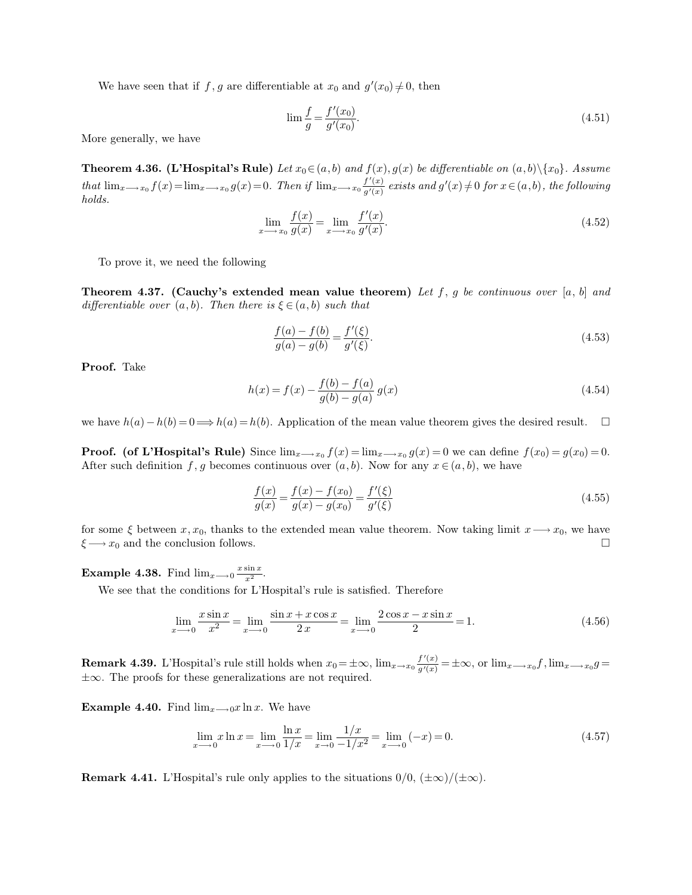We have seen that if f, g are differentiable at  $x_0$  and  $g'(x_0) \neq 0$ , then

$$
\lim \frac{f}{g} = \frac{f'(x_0)}{g'(x_0)}.
$$
\n(4.51)

More generally, we have

**Theorem 4.36. (L'Hospital's Rule)** *Let*  $x_0 \in (a, b)$  *and*  $f(x), g(x)$  *be differentiable on*  $(a, b) \setminus \{x_0\}$ *. Assume that*  $\lim_{x\longrightarrow x_0} f(x) = \lim_{x\longrightarrow x_0} g(x) = 0$ . *Then if*  $\lim_{x\longrightarrow x_0} \frac{f'(x)}{g'(x)}$  $\frac{f'(x)}{g'(x)}$  exists and  $g'(x) \neq 0$  for  $x \in (a, b)$ , the following *holds.*

$$
\lim_{x \to x_0} \frac{f(x)}{g(x)} = \lim_{x \to x_0} \frac{f'(x)}{g'(x)}.
$$
\n(4.52)

To prove it, we need the following

**Theorem 4.37.** (Cauchy's extended mean value theorem) Let f, g be continuous over [a, b] and *differentiable over*  $(a, b)$ *. Then there is*  $\xi \in (a, b)$  *such that* 

$$
\frac{f(a) - f(b)}{g(a) - g(b)} = \frac{f'(\xi)}{g'(\xi)}.
$$
\n(4.53)

**Proof.** Take

$$
h(x) = f(x) - \frac{f(b) - f(a)}{g(b) - g(a)} g(x)
$$
\n(4.54)

we have  $h(a) - h(b) = 0 \Longrightarrow h(a) = h(b)$ . Application of the mean value theorem gives the desired result. □

**Proof.** (of L'Hospital's Rule) Since  $\lim_{x\to x_0} f(x) = \lim_{x\to x_0} g(x) = 0$  we can define  $f(x_0) = g(x_0) = 0$ . After such definition f, g becomes continuous over  $(a, b)$ . Now for any  $x \in (a, b)$ , we have

$$
\frac{f(x)}{g(x)} = \frac{f(x) - f(x_0)}{g(x) - g(x_0)} = \frac{f'(\xi)}{g'(\xi)}
$$
\n(4.55)

for some  $\xi$  between  $x, x_0$ , thanks to the extended mean value theorem. Now taking limit  $x \rightarrow x_0$ , we have  $\xi \longrightarrow x_0$  and the conclusion follows.

**Example 4.38.** Find  $\lim_{x\to 0} \frac{x \sin x}{x^2}$  $rac{\sin x}{x^2}$ .

We see that the conditions for L'Hospital's rule is satisfied. Therefore

$$
\lim_{x \to -0} \frac{x \sin x}{x^2} = \lim_{x \to -0} \frac{\sin x + x \cos x}{2x} = \lim_{x \to -0} \frac{2 \cos x - x \sin x}{2} = 1.
$$
\n(4.56)

**Remark 4.39.** L'Hospital's rule still holds when  $x_0 = \pm \infty$ ,  $\lim_{x \to x_0} \frac{f'(x)}{g'(x)}$  $\frac{f(x)}{g'(x)} = \pm \infty$ , or  $\lim_{x \to x_0} f$ ,  $\lim_{x \to x_0} g =$ ±∞. The proofs for these generalizations are not required.

**Example 4.40.** Find  $\lim_{x\to 0}x \ln x$ . We have

$$
\lim_{x \to 0} x \ln x = \lim_{x \to 0} \frac{\ln x}{1/x} = \lim_{x \to 0} \frac{1/x}{-1/x^2} = \lim_{x \to 0} (-x) = 0.
$$
\n(4.57)

**Remark 4.41.** L'Hospital's rule only applies to the situations  $0/0$ ,  $(\pm \infty)/(\pm \infty)$ .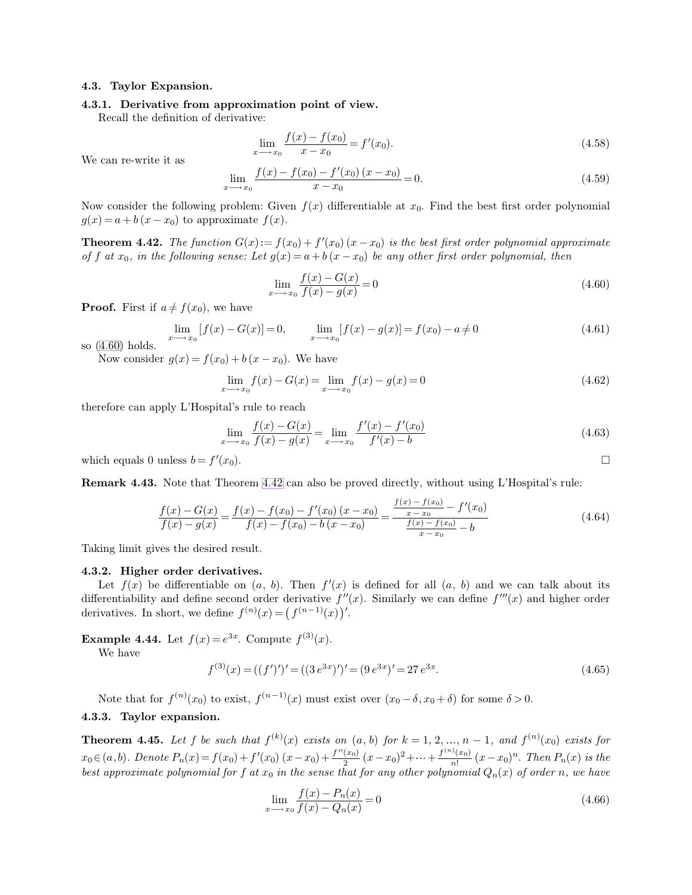#### **4.3. Taylor Expansion.**

## **4.3.1. Derivative from approximation point of view.**

 $\boldsymbol{x}$ 

Recall the definition of derivative:

<span id="page-8-1"></span><span id="page-8-0"></span>
$$
\lim_{x \to x_0} \frac{f(x) - f(x_0)}{x - x_0} = f'(x_0).
$$
\n(4.58)

We can re-write it as

$$
\lim_{x \to x_0} \frac{f(x) - f(x_0) - f'(x_0)(x - x_0)}{x - x_0} = 0.
$$
\n(4.59)

Now consider the following problem: Given  $f(x)$  differentiable at  $x_0$ . Find the best first order polynomial  $g(x) = a + b(x - x_0)$  to approximate  $f(x)$ .

**Theorem 4.42.** *The function*  $G(x) := f(x_0) + f'(x_0)(x - x_0)$  *is the best first order polynomial approximate of* f at  $x_0$ , in the following sense: Let  $g(x) = a + b(x - x_0)$  be any other first order polynomial, then

$$
\lim_{x \to x_0} \frac{f(x) - G(x)}{f(x) - g(x)} = 0
$$
\n(4.60)

**Proof.** First if  $a \neq f(x_0)$ , we have

$$
\lim_{x \to x_0} [f(x) - G(x)] = 0, \qquad \lim_{x \to x_0} [f(x) - g(x)] = f(x_0) - a \neq 0
$$
\n(4.61)

so [\(4.60\)](#page-8-0) holds.

Now consider  $g(x) = f(x_0) + b(x - x_0)$ . We have

$$
\lim_{x \to x_0} f(x) - G(x) = \lim_{x \to x_0} f(x) - g(x) = 0
$$
\n(4.62)

therefore can apply L'Hospital's rule to reach

$$
\lim_{x \to x_0} \frac{f(x) - G(x)}{f(x) - g(x)} = \lim_{x \to x_0} \frac{f'(x) - f'(x_0)}{f'(x) - b}
$$
\n(4.63)

which equals 0 unless  $b = f'$  $(x_0).$ 

**Remark 4.43.** Note that Theorem [4.42](#page-8-1) can also be proved directly, without using L'Hospital's rule:

$$
\frac{f(x) - G(x)}{f(x) - g(x)} = \frac{f(x) - f(x_0) - f'(x_0)(x - x_0)}{f(x) - f(x_0) - b(x - x_0)} = \frac{\frac{f(x) - f(x_0)}{x - x_0} - f'(x_0)}{\frac{f(x) - f(x_0)}{x - x_0} - b}
$$
\n(4.64)

Taking limit gives the desired result.

#### **4.3.2. Higher order derivatives.**

Let  $f(x)$  be differentiable on  $(a, b)$ . Then  $f'(x)$  is defined for all  $(a, b)$  and we can talk about its differentiability and define second order derivative  $f''(x)$ . Similarly we can define  $f'''(x)$  and higher order derivatives. In short, we define  $f^{(n)}(x) = (f^{(n-1)}(x))'$ .

**Example 4.44.** Let  $f(x) = e^{3x}$ . Compute  $f^{(3)}(x)$ .

We have

$$
f^{(3)}(x) = ((f')')' = ((3e^{3x})')' = (9e^{3x})' = 27e^{3x}.
$$
\n(4.65)

Note that for  $f^{(n)}(x_0)$  to exist,  $f^{(n-1)}(x)$  must exist over  $(x_0 - \delta, x_0 + \delta)$  for some  $\delta > 0$ .

## **4.3.3. Taylor expansion.**

**Theorem 4.45.** Let f be such that  $f^{(k)}(x)$  exists on  $(a, b)$  for  $k = 1, 2, ..., n - 1$ , and  $f^{(n)}(x_0)$  exists for  $x_0 \in (a, b)$ . Denote  $P_n(x) = f(x_0) + f'(x_0)(x-x_0) + \frac{f''(x_0)}{2}$  $rac{(x_0)}{2}(x-x_0)^2 + \dots + \frac{f^{(n)}(x_0)}{n!}$  $\frac{n!}{n!}(x-x_0)^n$ . Then  $P_n(x)$  is the  $\emph{best approximate polynomial for $f$ at $x_0$ in the sense that for any other polynomial $Q_n(x)$ of order $n$, we have}$ 

$$
\lim_{x \to x_0} \frac{f(x) - P_n(x)}{f(x) - Q_n(x)} = 0
$$
\n(4.66)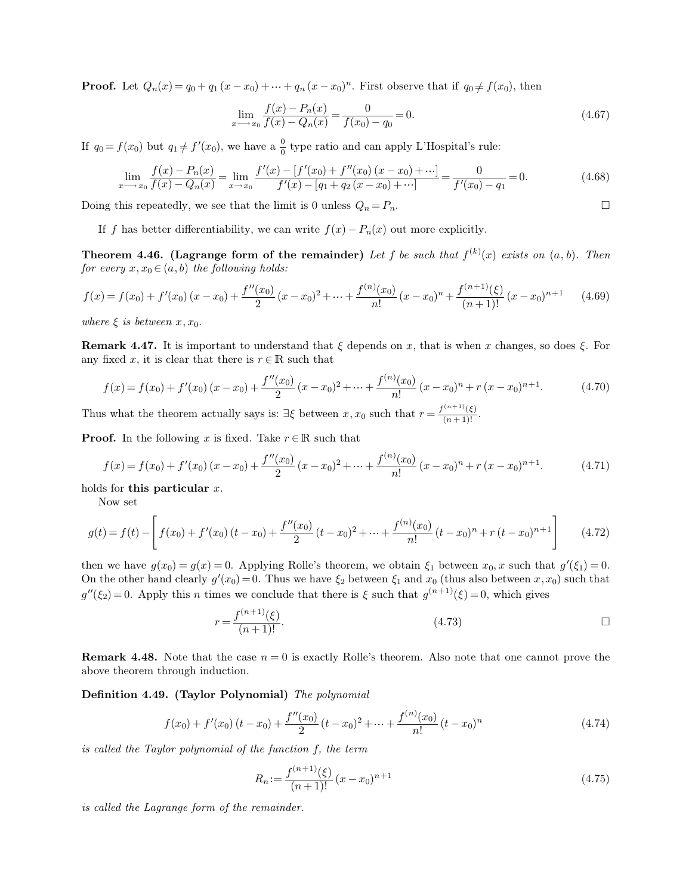**Proof.** Let  $Q_n(x) = q_0 + q_1(x - x_0) + \cdots + q_n(x - x_0)^n$ . First observe that if  $q_0 \neq f(x_0)$ , then

$$
\lim_{x \to x_0} \frac{f(x) - P_n(x)}{f(x) - Q_n(x)} = \frac{0}{f(x_0) - q_0} = 0.
$$
\n(4.67)

If  $q_0 = f(x_0)$  but  $q_1 \neq f'(x_0)$ , we have a  $\frac{0}{0}$  type ratio and can apply L'Hospital's rule:

$$
\lim_{x \to x_0} \frac{f(x) - P_n(x)}{f(x) - Q_n(x)} = \lim_{x \to x_0} \frac{f'(x) - [f'(x_0) + f''(x_0)(x - x_0) + \cdots]}{f'(x) - [q_1 + q_2(x - x_0) + \cdots]} = \frac{0}{f'(x_0) - q_1} = 0.
$$
\n(4.68)

Doing this repeatedly, we see that the limit is 0 unless  $Q_n = P_n$ .

If f has better differentiability, we can write  $f(x) - P_n(x)$  out more explicitly.

**Theorem 4.46.** (Lagrange form of the remainder) Let f be such that  $f^{(k)}(x)$  exists on  $(a, b)$ . Then *for every*  $x, x_0 \in (a, b)$  *the following holds:* 

$$
f(x) = f(x_0) + f'(x_0)(x - x_0) + \frac{f''(x_0)}{2}(x - x_0)^2 + \dots + \frac{f^{(n)}(x_0)}{n!}(x - x_0)^n + \frac{f^{(n+1)}(\xi)}{(n+1)!}(x - x_0)^{n+1}
$$
(4.69)

*where*  $\xi$  *is between*  $x, x_0$ *.* 

**Remark 4.47.** It is important to understand that  $\xi$  depends on x, that is when x changes, so does  $\xi$ . For any fixed x, it is clear that there is  $r \in \mathbb{R}$  such that

$$
f(x) = f(x_0) + f'(x_0)(x - x_0) + \frac{f''(x_0)}{2}(x - x_0)^2 + \dots + \frac{f^{(n)}(x_0)}{n!}(x - x_0)^n + r(x - x_0)^{n+1}.
$$
 (4.70)

Thus what the theorem actually says is:  $\exists \xi$  between  $x, x_0$  such that  $r = \frac{f^{(n+1)}(\xi)}{(n+1)!}$ .

**Proof.** In the following x is fixed. Take  $r \in \mathbb{R}$  such that

$$
f(x) = f(x_0) + f'(x_0)(x - x_0) + \frac{f''(x_0)}{2}(x - x_0)^2 + \dots + \frac{f^{(n)}(x_0)}{n!}(x - x_0)^n + r(x - x_0)^{n+1}.
$$
 (4.71)

holds for **this particular** x.

Now set

$$
g(t) = f(t) - \left[ f(x_0) + f'(x_0)(t - x_0) + \frac{f''(x_0)}{2}(t - x_0)^2 + \dots + \frac{f^{(n)}(x_0)}{n!}(t - x_0)^n + r(t - x_0)^{n+1} \right]
$$
(4.72)

then we have  $g(x_0) = g(x) = 0$ . Applying Rolle's theorem, we obtain  $\xi_1$  between  $x_0, x$  such that  $g'(\xi_1) = 0$ . On the other hand clearly  $g'(x_0) = 0$ . Thus we have  $\xi_2$  between  $\xi_1$  and  $x_0$  (thus also between  $x, x_0$ ) such that  $g''(\xi_2)=0$ . Apply this n times we conclude that there is  $\xi$  such that  $g^{(n+1)}(\xi)=0$ , which gives

$$
r = \frac{f^{(n+1)}(\xi)}{(n+1)!}.
$$
\n(4.73)

**Remark 4.48.** Note that the case  $n = 0$  is exactly Rolle's theorem. Also note that one cannot prove the above theorem through induction.

## **Definition 4.49. (Taylor Polynomial)** *The polynomial*

$$
f(x_0) + f'(x_0)(t - x_0) + \frac{f''(x_0)}{2}(t - x_0)^2 + \dots + \frac{f^{(n)}(x_0)}{n!}(t - x_0)^n
$$
\n(4.74)

*is called the Taylor polynomial of the function* f*, the term*

$$
R_n := \frac{f^{(n+1)}(\xi)}{(n+1)!} (x - x_0)^{n+1}
$$
\n(4.75)

*is called the Lagrange form of the remainder.*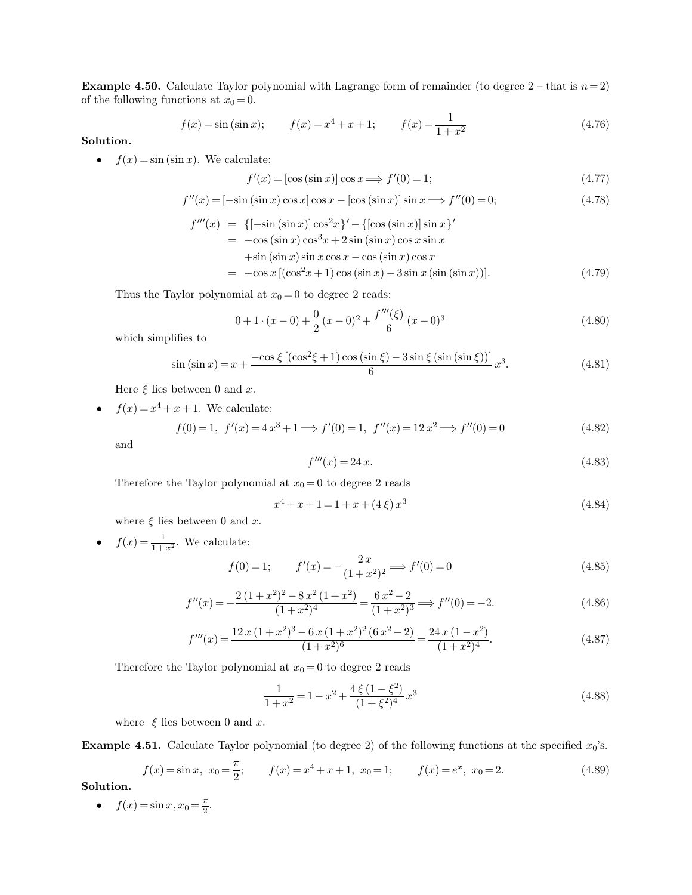**Example 4.50.** Calculate Taylor polynomial with Lagrange form of remainder (to degree  $2$  – that is  $n=2$ ) of the following functions at  $x_0 = 0$ .

$$
f(x) = \sin(\sin x);
$$
  $f(x) = x^4 + x + 1;$   $f(x) = \frac{1}{1 + x^2}$  (4.76)

**Solution.**

•  $f(x) = \sin(\sin x)$ . We calculate:

$$
f'(x) = [\cos(\sin x)] \cos x \Longrightarrow f'(0) = 1;
$$
\n(4.77)

$$
f''(x) = [-\sin(\sin x)\cos x]\cos x - [\cos(\sin x)]\sin x \Longrightarrow f''(0) = 0;
$$
\n(4.78)

$$
f'''(x) = \{[-\sin(\sin x)]\cos^2 x\}' - \{[\cos(\sin x)]\sin x\}'
$$
  
= -\cos(\sin x)\cos^3 x + 2\sin(\sin x)\cos x \sin x  
+ \sin(\sin x)\sin x \cos x - \cos(\sin x)\cos x  
= -\cos x [(\cos^2 x + 1)\cos(\sin x) - 3\sin x(\sin(\sin x))]. (4.79)

Thus the Taylor polynomial at  $x_0 = 0$  to degree 2 reads:

$$
0 + 1 \cdot (x - 0) + \frac{0}{2} (x - 0)^2 + \frac{f'''(\xi)}{6} (x - 0)^3
$$
\n(4.80)

which simplifies to

$$
\sin\left(\sin x\right) = x + \frac{-\cos\xi\left[\left(\cos^2\xi + 1\right)\cos\left(\sin\xi\right) - 3\sin\xi\left(\sin\left(\sin\xi\right)\right)\right]}{6}x^3.
$$
\n(4.81)

Here  $\xi$  lies between 0 and x.

•  $f(x) = x^4 + x + 1$ . We calculate:

 $f(0) = 1, f'(x) = 4x^3 + 1 \Longrightarrow f'(0) = 1, f''(x) = 12x^2 \Longrightarrow f''(0) = 0$  (4.82)

and

$$
f'''(x) = 24x.\t(4.83)
$$

Therefore the Taylor polynomial at  $x_0 = 0$  to degree 2 reads

$$
x^4 + x + 1 = 1 + x + (4 \xi) x^3 \tag{4.84}
$$

where  $\xi$  lies between 0 and x.

•  $f(x) = \frac{1}{1+x^2}$ . We calculate:

$$
f(0) = 1; \t f'(x) = -\frac{2x}{(1+x^2)^2} \implies f'(0) = 0 \t (4.85)
$$

$$
f''(x) = -\frac{2(1+x^2)^2 - 8x^2(1+x^2)}{(1+x^2)^4} = \frac{6x^2 - 2}{(1+x^2)^3} \Longrightarrow f''(0) = -2.
$$
 (4.86)

$$
f'''(x) = \frac{12 x (1+x^2)^3 - 6 x (1+x^2)^2 (6 x^2 - 2)}{(1+x^2)^6} = \frac{24 x (1-x^2)}{(1+x^2)^4}.
$$
 (4.87)

Therefore the Taylor polynomial at  $x_0 = 0$  to degree 2 reads

$$
\frac{1}{1+x^2} = 1 - x^2 + \frac{4\,\xi\,(1-\xi^2)}{(1+\xi^2)^4}x^3\tag{4.88}
$$

where  $\xi$  lies between 0 and x.

**Example 4.51.** Calculate Taylor polynomial (to degree 2) of the following functions at the specified  $x_0$ 's.

$$
f(x) = \sin x, \ x_0 = \frac{\pi}{2}; \qquad f(x) = x^4 + x + 1, \ x_0 = 1; \qquad f(x) = e^x, \ x_0 = 2.
$$
 (4.89)

**Solution.**

•  $f(x) = \sin x, x_0 = \frac{\pi}{2}$  $\frac{\pi}{2}$ .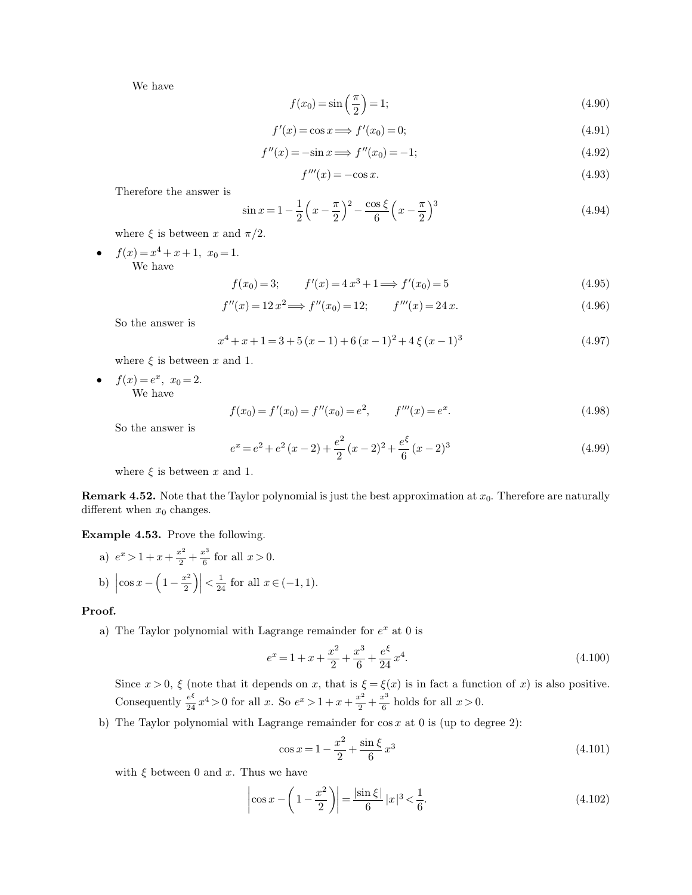We have

$$
f(x_0) = \sin\left(\frac{\pi}{2}\right) = 1;\tag{4.90}
$$

$$
f'(x) = \cos x \Longrightarrow f'(x_0) = 0;\tag{4.91}
$$

$$
f''(x) = -\sin x \Longrightarrow f''(x_0) = -1; \tag{4.92}
$$

$$
f'''(x) = -\cos x.\tag{4.93}
$$

Therefore the answer is

$$
\sin x = 1 - \frac{1}{2} \left( x - \frac{\pi}{2} \right)^2 - \frac{\cos \xi}{6} \left( x - \frac{\pi}{2} \right)^3
$$
\n(4.94)

where  $\xi$  is between x and  $\pi/2$ .

•  $f(x) = x^4 + x + 1$ ,  $x_0 = 1$ . We have

$$
f(x_0) = 3; \t f'(x) = 4x^3 + 1 \Longrightarrow f'(x_0) = 5 \t (4.95)
$$

$$
f''(x) = 12x^2 \Longrightarrow f''(x_0) = 12; \qquad f'''(x) = 24x. \tag{4.96}
$$

So the answer is

$$
x^{4} + x + 1 = 3 + 5(x - 1) + 6(x - 1)^{2} + 4\xi(x - 1)^{3}
$$
\n(4.97)

where  $\xi$  is between x and 1.

•  $f(x) = e^x$ ,  $x_0 = 2$ . We have

$$
f(x_0) = f'(x_0) = f''(x_0) = e^2, \qquad f'''(x) = e^x.
$$
\n(4.98)

So the answer is

$$
e^{x} = e^{2} + e^{2}(x - 2) + \frac{e^{2}}{2}(x - 2)^{2} + \frac{e^{\xi}}{6}(x - 2)^{3}
$$
\n(4.99)

where  $\xi$  is between x and 1.

**Remark 4.52.** Note that the Taylor polynomial is just the best approximation at  $x_0$ . Therefore are naturally different when  $x_0$  changes.

**Example 4.53.** Prove the following.

 $\mathbb{R}^2$ 

a) 
$$
e^x > 1 + x + \frac{x^2}{2} + \frac{x^3}{6}
$$
 for all  $x > 0$ .  
b)  $\left| \cos x - \left( 1 - \frac{x^2}{2} \right) \right| < \frac{1}{24}$  for all  $x \in (-1, 1)$ .

**Proof.**

a) The Taylor polynomial with Lagrange remainder for  $e^x$  at 0 is

$$
e^x = 1 + x + \frac{x^2}{2} + \frac{x^3}{6} + \frac{e^{\xi}}{24}x^4.
$$
\n(4.100)

Since  $x > 0$ ,  $\xi$  (note that it depends on x, that is  $\xi = \xi(x)$  is in fact a function of x) is also positive. Consequently  $\frac{e^{\xi}}{24}x^4 > 0$  for all x. So  $e^x > 1 + x + \frac{x^2}{2}$  $\frac{x^2}{2} + \frac{x^3}{6}$  $\frac{x^3}{6}$  holds for all  $x > 0$ .

b) The Taylor polynomial with Lagrange remainder for  $\cos x$  at 0 is (up to degree 2):

$$
\cos x = 1 - \frac{x^2}{2} + \frac{\sin \xi}{6} x^3 \tag{4.101}
$$

with  $\xi$  between 0 and x. Thus we have

$$
\left|\cos x - \left(1 - \frac{x^2}{2}\right)\right| = \frac{|\sin \xi|}{6} |x|^3 < \frac{1}{6}.\tag{4.102}
$$